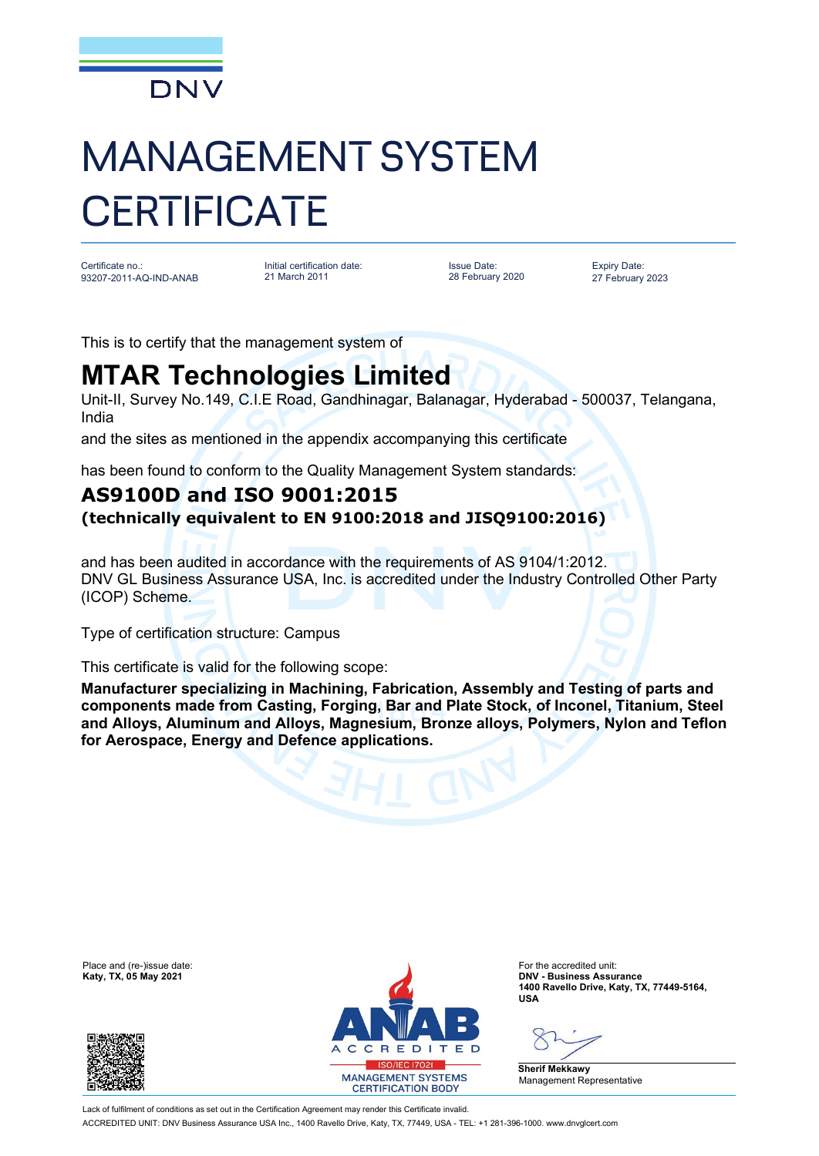

## MANAGEMENT SYSTEM **CERTIFICATE**

Certificate no.: 93207-2011-AQ-IND-ANAB Initial certification date: 21 March 2011

Issue Date: 28 February 2020 Expiry Date: 27 February 2023

This is to certify that the management system of

## **MTAR Technologies Limited**

Unit-II, Survey No.149, C.I.E Road, Gandhinagar, Balanagar, Hyderabad - 500037, Telangana, India

and the sites as mentioned in the appendix accompanying this certificate

has been found to conform to the Quality Management System standards:

## **AS9100D and ISO 9001:2015 (technically equivalent to EN 9100:2018 and JISQ9100:2016)**

and has been audited in accordance with the requirements of AS 9104/1:2012. DNV GL Business Assurance USA, Inc. is accredited under the Industry Controlled Other Party (ICOP) Scheme.

Type of certification structure: Campus

This certificate is valid for the following scope:

**Manufacturer specializing in Machining, Fabrication, Assembly and Testing of parts and components made from Casting, Forging, Bar and Plate Stock, of Inconel, Titanium, Steel and Alloys, Aluminum and Alloys, Magnesium, Bronze alloys, Polymers, Nylon and Teflon for Aerospace, Energy and Defence applications.**





**Katy, TX, 05 May 2021 DNV - Business Assurance 1400 Ravello Drive, Katy, TX, 77449-5164, USA**

**Sherif Mekkawy** Management Representative

Lack of fulfilment of conditions as set out in the Certification Agreement may render this Certificate invalid. ACCREDITED UNIT: DNV Business Assurance USA Inc., 1400 Ravello Drive, Katy, TX, 77449, USA - TEL: +1 281-396-1000. www.dnvglcert.com